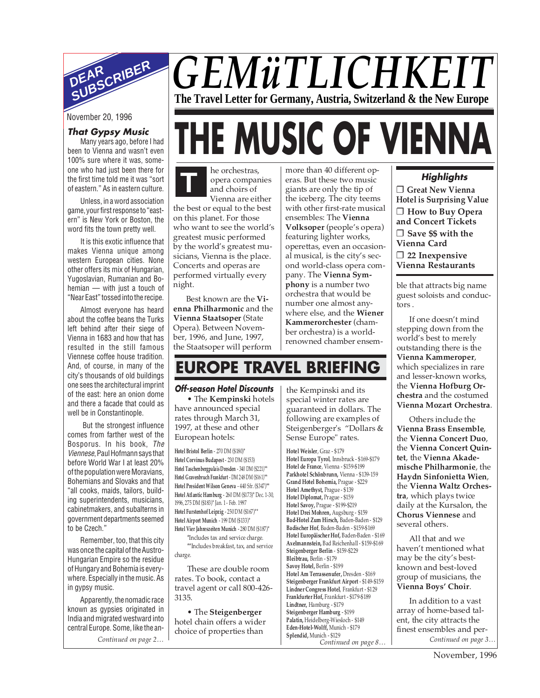

# *GEMüTLICHKEIT* **The Travel Letter for Germany, Austria, Switzerland & the New Europe THE MUSIC OF VIENNA**

# November 20, 1996

# **That Gypsy Music**

Many years ago, before I had been to Vienna and wasn't even 100% sure where it was, someone who had just been there for the first time told me it was "sort of eastern." As in eastern culture.

Unless, in a word association game, your first response to "eastern" is New York or Boston, the word fits the town pretty well.

It is this exotic influence that makes Vienna unique among western European cities. None other offers its mix of Hungarian, Yugoslavian, Rumanian and Bohemian — with just a touch of "Near East" tossed into the recipe.

Almost everyone has heard about the coffee beans the Turks left behind after their siege of Vienna in 1683 and how that has resulted in the still famous Viennese coffee house tradition. And, of course, in many of the city's thousands of old buildings one sees the architectural imprint of the east: here an onion dome and there a facade that could as well be in Constantinople.

But the strongest influence comes from farther west of the Bosporus. In his book, The Viennese, Paul Hofmann says that before World War I at least 20% of the population were Moravians, Bohemians and Slovaks and that "all cooks, maids, tailors, building superintendents, musicians, cabinetmakers, and subalterns in government departments seemed to be Czech."

Remember, too, that this city was once the capital of the Austro-Hungarian Empire so the residue of Hungary and Bohemia is everywhere. Especially in the music. As in gypsy music.

Apparently, the nomadic race known as gypsies originated in India and migrated westward into central Europe. Some, like the an-

he orchestras, opera companies and choirs of **T**

Vienna are either the best or equal to the best on this planet. For those who want to see the world's greatest music performed by the world's greatest musicians, Vienna is the place. Concerts and operas are performed virtually every night.

Best known are the **Vienna Philharmonic** and the **Vienna Staatsoper** (State Opera). Between November, 1996, and June, 1997, the Staatsoper will perform

more than 40 different operas. But these two music giants are only the tip of the iceberg. The city teems with other first-rate musical ensembles: The **Vienna Volksoper** (people's opera) featuring lighter works, operettas, even an occasional musical, is the city's second world-class opera company. The **Vienna Symphony** is a number two orchestra that would be number one almost anywhere else, and the **Wiener Kammerorchester** (chamber orchestra) is a worldrenowned chamber ensem-

# **Highlights**

❐ **Great New Vienna Hotel is Surprising Value** ❐ **How to Buy Opera and Concert Tickets** ❐ **Save \$\$ with the Vienna Card** ❐ **22 Inexpensive Vienna Restaurants**

ble that attracts big name guest soloists and conductors .

If one doesn't mind stepping down from the world's best to merely outstanding there is the **Vienna Kammeroper**, which specializes in rare and lesser-known works, the **Vienna Hofburg Orchestra** and the costumed **Vienna Mozart Orchestra**.

Others include the **Vienna Brass Ensemble**, the **Vienna Concert Duo**, the **Vienna Concert Quintet**, the **Vienna Akademische Philharmonie**, the **Haydn Sinfonietta Wien**, the **Vienna Waltz Orchestra**, which plays twice daily at the Kursalon, the **Chorus Viennese** and several others.

All that and we haven't mentioned what may be the city's bestknown and best-loved group of musicians, the **Vienna Boys' Choir**.

In addition to a vast array of home-based talent, the city attracts the finest ensembles and per-

# **EUROPE TRAVEL BRIEFING**

#### **Off-season Hotel Discounts**

• The **Kempinski** hotels have announced special rates through March 31, 1997, at these and other European hotels:

**Hotel Bristol Berlin** - 270 DM (\$180)\* **Hotel Corvinus Budapest** - 230 DM (\$153) **Hotel Taschenbergpalais Dresden** - 340 DM (\$221)\*\* **Hotel Gravenbruch Frankfurt** - DM 248 DM (\$161)\*\* **Hotel President Wilson Geneva** - 440 Sfr. (\$347)\*\* **Hotel Atlantic Hamburg** - 260 DM (\$173)\* Dec. 1-30, 1996, 275 DM (\$183)\* Jan. 1 - Feb. 1997 **Hotel Furstenhof Leipzig** - 250 DM (\$167)\*\* **Hotel Airport Munich** - 199 DM (\$133)\* **Hotel Vier Jahreszeiten Munich** - 280 DM (\$187)\*

\*Includes tax and service charge. \*\*Includes breakfast, tax, and service charge.

These are double room rates. To book, contact a travel agent or call 800-426- 3135.

• The **Steigenberger** hotel chain offers a wider choice of properties than

the Kempinski and its special winter rates are guaranteed in dollars. The following are examples of Steigenberger's "Dollars & Sense Europe" rates.

*Continued on page 2… Continued on page 3…* **Hotel Weisler**, Graz - \$179 **Hotel Europa Tyrol**, Innsbruck - \$169-\$179 **Hotel de France**, Vienna - \$159-\$199 **Parkhotel Schönbrunn,** Vienna - \$139-159 **Grand Hotel Bohemia,** Prague - \$229 **Hotel Amethyst,** Prague - \$139 **Hotel Diplomat,** Prague - \$159 **Hotel Savoy,** Prague - \$199-\$219 **Hotel Drei Mohren,** Augsburg - \$159 **Bad-Hotel Zum Hirsch,** Baden-Baden - \$129 **Badischer Hof**, Baden-Baden - \$159-\$169 **Hotel Europäischer Hof,** Baden-Baden - \$169 **Axelmannstein,** Bad Reichenhall - \$159-\$169 **Steigenberger Berlin** - \$159-\$229 **Bleibtrau,** Berlin - \$179 **Savoy Hotel,** Berlin - \$199 **Hotel Am Terrassenufer,** Dresden - \$169 **Steigenberger Frankfurt Airport** - \$149-\$159 **Lindner Congress Hotel**, Frankfurt - \$129 **Frankfurter Hof,** Frankfurt - \$179-\$189 **Lindtner,** Hamburg - \$179 **Steigenberger Hamburg** - \$199 **Palatin,** Heidelberg-Wiesloch - \$149 **Eden-Hotel-Wolff,** Munich - \$179 **Splendid,** Munich - \$129 *Continued on page 8…*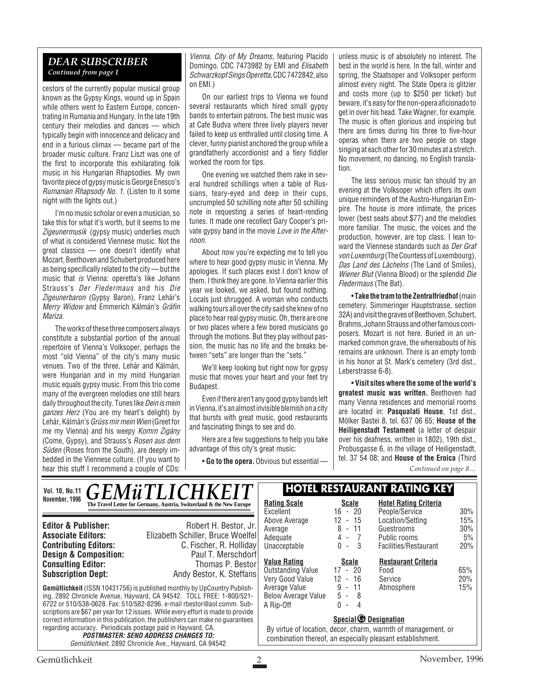#### *DEAR SUBSCRIBER Continued from page 1*

cestors of the currently popular musical group known as the Gypsy Kings, wound up in Spain while others went to Eastern Europe, concentrating in Rumania and Hungary. In the late 19th century their melodies and dances — which typically begin with innocence and delicacy and end in a furious climax — became part of the broader music culture. Franz Liszt was one of the first to incorporate this exhilarating folk music in his Hungarian Rhapsodies. My own favorite piece of gypsy music is George Enesco's Rumanian Rhapsody No. 1. (Listen to it some night with the lights out.)

I'm no music scholar or even a musician, so take this for what it's worth, but it seems to me Zigeunermusik (gypsy music) underlies much of what is considered Viennese music. Not the great classics — one doesn't identify what Mozart, Beethoven and Schubert produced here as being specifically related to the city — but the music that is Vienna: operetta's like Johann Strauss's Der Fledermaus and his Die Zigeunerbaron (Gypsy Baron), Franz Lehár's Merry Widow and Emmerich Kálmán's Gräfin Mariza.

The works of these three composers always constitute a substantial portion of the annual repertoire of Vienna's Volksoper, perhaps the most "old Vienna" of the city's many music venues. Two of the three, Lehár and Kálmán, were Hungarian and in my mind Hungarian music equals gypsy music. From this trio come many of the evergreen melodies one still hears daily throughout the city. Tunes like Dein is mein ganzes Herz (You are my heart's delight) by Lehár, Kálmán's Grüss mir mein Wien (Greet for me my Vienna) and his weepy Komm Zigány (Come, Gypsy), and Strauss's Rosen aus dem Süden (Roses from the South), are deeply imbedded in the Viennese culture. (If you want to hear this stuff I recommend a couple of CDs:

Vienna, City of My Dreams, featuring Placido Domingo, CDC 7473982 by EMI and Elisabeth Schwarzkopf Sings Operetta, CDC 7472842, also on EMI.)

On our earliest trips to Vienna we found several restaurants which hired small gypsy bands to entertain patrons. The best music was at Cafe Budva where three lively players never failed to keep us enthralled until closing time. A clever, funny pianist anchored the group while a grandfatherly accordionist and a fiery fiddler worked the room for tips.

One evening we watched them rake in several hundred schillings when a table of Russians, teary-eyed and deep in their cups, uncrumpled 50 schilling note after 50 schilling note in requesting a series of heart-rending tunes. It made one recollect Gary Cooper's private gypsy band in the movie Love in the Afternoon.

About now you're expecting me to tell you where to hear good gypsy music in Vienna. My apologies. If such places exist I don't know of them. I think they are gone. In Vienna earlier this year we looked, we asked, but found nothing. Locals just shrugged. A woman who conducts walking tours all over the city said she knew of no place to hear real gypsy music. Oh, there are one or two places where a few bored musicians go through the motions. But they play without passion, the music has no life and the breaks between "sets" are longer than the "sets."

We'll keep looking but right now for gypsy music that moves your heart and your feet try Budapest.

Even if there aren't any good gypsy bands left in Vienna, it's an almost invisible blemish on a city that bursts with great music, good restaurants and fascinating things to see and do.

Here are a few suggestions to help you take advantage of this city's great music:

• **Go to the opera.**Obvious but essential —

unless music is of absolutely no interest. The best in the world is here. In the fall, winter and spring, the Staatsoper and Volksoper perform almost every night. The State Opera is glitzier and costs more (up to \$250 per ticket) but beware, it's easy for the non-opera aficionado to get in over his head. Take Wagner, for example. The music is often glorious and inspiring but there are times during his three to five-hour operas when there are two people on stage singing at each other for 30 minutes at a stretch. No movement, no dancing, no English translation.

The less serious music fan should try an evening at the Volksoper which offers its own unique reminders of the Austro-Hungarian Empire. The house is more intimate, the prices lower (best seats about \$77) and the melodies more familiar. The music, the voices and the production, however, are top class. I lean toward the Viennese standards such as Der Graf von Luxemburg (The Countess of Luxembourg), Das Land des Lächelns (The Land of Smiles), Wiener Blut (Vienna Blood) or the splendid Die Fledermaus (The Bat).

• **Take the tram to the Zentralfriedhof** (main cemetery, Simmeringer Hauptstrasse, section 32A) and visit the graves of Beethoven, Schubert, Brahms, Johann Strauss and other famous composers. Mozart is not here. Buried in an unmarked common grave, the whereabouts of his remains are unknown. There is an empty tomb in his honor at St. Mark's cemetery (3rd dist., Leberstrasse 6-8).

• **Visit sites where the some of the world's greatest music was written.** Beethoven had many Vienna residences and memorial rooms are located in: **Pasqualati House**, 1st dist., Mölker Bastei 8, tel. 637 06 65; **House of the Heiligenstadt Testament** (a letter of despair over his deafness, written in 1802), 19th dist., Probusgasse 6, in the village of Heiligenstadt, tel. 37 54 08; and **House of the Eroica** (Third

*Continued on page 8…*

#### Vol. 10, No.11 **CFMiTIICHKFIT HOTEL RESTAURANT RATING KEY November, 1996 Rating Scale Rating Scale Rating Scale Rating Scale Rating Scale Scale Rating Scale Scale** *GEMüTLICHK*

**Design & Composition:** 

**Editor & Publisher:** Robert H. Bestor, Jr. **Associate Editors:** Elizabeth Schiller, Bruce Woelfel<br>**Contributing Editors:** C. Fischer, R. Hollidav **C. Fischer, R. Holliday<br>Paul T. Merschdorf Consulting Editor:** Thomas P. Bestor **Subscription Dept:** Andy Bestor, K. Steffans

**Gemütlichkeit** (ISSN 10431756) is published monthly by UpCountry Publishing, 2892 Chronicle Avenue, Hayward, CA 94542. TOLL FREE: 1-800/521- 6722 or 510/538-0628. Fax: 510/582-8296. e-mail rbestor@aol.comm. Subscriptions are \$67 per year for 12 issues. While every effort is made to provide correct information in this publication, the publishers can make no guarantees regarding accuracy. Periodicals postage paid in Hayward, CA.

**POSTMASTER: SEND ADDRESS CHANGES TO:** Gemütlichkeit, 2892 Chronicle Ave., Hayward, CA 94542

| <b>Rating Scale</b> | <b>Scale</b>                       | <b>Hotel Rating Criteria</b> |     |
|---------------------|------------------------------------|------------------------------|-----|
| Excellent           | 16 - 20                            | People/Service               | 30% |
| Above Average       | $12 - 15$                          | Location/Setting             | 15% |
| Average             | 8 - 11                             | Guestrooms                   | 30% |
| Adequate            | 4 - 7                              | Public rooms                 | 5%  |
| Unacceptable        | $0 - 3$                            | Facilities/Restaurant        | 20% |
| <u>Value Rating</u> | Scale                              | <b>Restaurant Criteria</b>   |     |
| Outstanding Value   | $17 - 20$                          | Food                         | 65% |
| Very Good Value     | 12 - 16                            | Service                      | 20% |
| Average Value       | 9 - 11                             | Atmosphere                   | 15% |
| Below Average Value | $5 - 8$                            |                              |     |
| A Rip-Off           | 0<br>4<br>$\overline{\phantom{a}}$ |                              |     |
|                     | Special <b>O</b> Designation       |                              |     |

By virtue of location, decor, charm, warmth of management, or combination thereof, an especially pleasant establishment.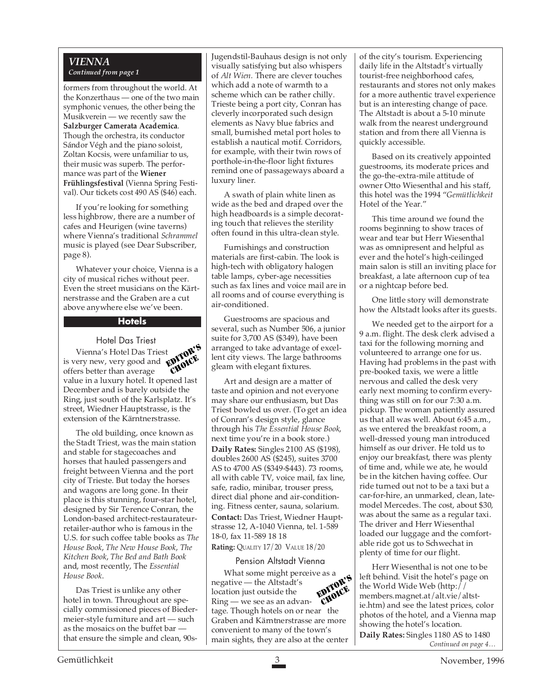#### *VIENNA Continued from page 1*

formers from throughout the world. At the Konzerthaus — one of the two main symphonic venues, the other being the Musikverein — we recently saw the **Salzburger Camerata Academica**. Though the orchestra, its conductor Sándor Végh and the piano soloist, Zoltan Kocsis, were unfamiliar to us, their music was superb. The performance was part of the **Wiener Frühlingsfestival** (Vienna Spring Festival). Our tickets cost 490 AS (\$46) each.

If you're looking for something less highbrow, there are a number of cafes and Heurigen (wine taverns) where Vienna's traditional *Schrammel* music is played (see Dear Subscriber, page 8).

Whatever your choice, Vienna is a city of musical riches without peer. Even the street musicians on the Kärtnerstrasse and the Graben are a cut above anywhere else we've been.

#### **Hotels**

#### Hotel Das Triest

Vienna's Hotel Das Triest is very new, very good and offers better than average  $v_{\text{max}}$ ,  $v_{\text{max}}$ , very good and  $\frac{v_{\text{max}}}{v_{\text{max}}}$ <br>offers better than average  $\frac{v_{\text{max}}}{v_{\text{max}}}$ December and is barely outside the Ring, just south of the Karlsplatz. It's street, Wiedner Hauptstrasse, is the extension of the Kärntnerstrasse. t DITOR'S CHOICE

The old building, once known as the Stadt Triest, was the main station and stable for stagecoaches and horses that hauled passengers and freight between Vienna and the port city of Trieste. But today the horses and wagons are long gone. In their place is this stunning, four-star hotel, designed by Sir Terence Conran, the London-based architect-restaurateurretailer-author who is famous in the U.S. for such coffee table books as *The House Book*, *The New House Book*, *The Kitchen Book*, *The Bed and Bath Book* and, most recently, The *Essential House Book*.

Das Triest is unlike any other hotel in town. Throughout are specially commissioned pieces of Biedermeier-style furniture and art — such as the mosaics on the buffet bar that ensure the simple and clean, 90sJugendstil-Bauhaus design is not only visually satisfying but also whispers of *Alt Wien.* There are clever touches which add a note of warmth to a scheme which can be rather chilly. Trieste being a port city, Conran has cleverly incorporated such design elements as Navy blue fabrics and small, burnished metal port holes to establish a nautical motif. Corridors, for example, with their twin rows of porthole-in-the-floor light fixtures remind one of passageways aboard a luxury liner.

A swath of plain white linen as wide as the bed and draped over the high headboards is a simple decorating touch that relieves the sterility often found in this ultra-clean style.

Furnishings and construction materials are first-cabin. The look is high-tech with obligatory halogen table lamps, cyber-age necessities such as fax lines and voice mail are in all rooms and of course everything is air-conditioned.

Guestrooms are spacious and several, such as Number 506, a junior suite for 3,700 AS (\$349), have been arranged to take advantage of excellent city views. The large bathrooms gleam with elegant fixtures.

Art and design are a matter of taste and opinion and not everyone may share our enthusiasm, but Das Triest bowled us over. (To get an idea of Conran's design style, glance through his *The Essential House Book*, next time you're in a book store.)

**Daily Rates:** Singles 2100 AS (\$198), doubles 2600 AS (\$245), suites 3700 AS to 4700 AS (\$349-\$443). 73 rooms, all with cable TV, voice mail, fax line, safe, radio, minibar, trouser press, direct dial phone and air-conditioning. Fitness center, sauna, solarium.

**Contact:** Das Triest, Wiedner Hauptstrasse 12, A-1040 Vienna, tel. 1-589 18-0, fax 11-589 18 18

**Rating:** QUALITY 17/20 VALUE 18/20

#### Pension Altstadt Vienna

What some might perceive as a negative — the Altstadt's location just outside the Ring — we see as an advantage. Though hotels on or near the Graben and Kärntnerstrasse are more convenient to many of the town's main sights, they are also at the center EDITOR'S CHOICE

of the city's tourism. Experiencing daily life in the Altstadt's virtually tourist-free neighborhood cafes, restaurants and stores not only makes for a more authentic travel experience but is an interesting change of pace. The Altstadt is about a 5-10 minute walk from the nearest underground station and from there all Vienna is quickly accessible.

Based on its creatively appointed guestrooms, its moderate prices and the go-the-extra-mile attitude of owner Otto Wiesenthal and his staff, this hotel was the 1994 "*Gemütlichkeit* Hotel of the Year."

This time around we found the rooms beginning to show traces of wear and tear but Herr Wiesenthal was as omnipresent and helpful as ever and the hotel's high-ceilinged main salon is still an inviting place for breakfast, a late afternoon cup of tea or a nightcap before bed.

One little story will demonstrate how the Altstadt looks after its guests.

We needed get to the airport for a 9 a.m. flight. The desk clerk advised a taxi for the following morning and volunteered to arrange one for us. Having had problems in the past with pre-booked taxis, we were a little nervous and called the desk very early next morning to confirm everything was still on for our 7:30 a.m. pickup. The woman patiently assured us that all was well. About 6:45 a.m., as we entered the breakfast room, a well-dressed young man introduced himself as our driver. He told us to enjoy our breakfast, there was plenty of time and, while we ate, he would be in the kitchen having coffee. Our ride turned out not to be a taxi but a car-for-hire, an unmarked, clean, latemodel Mercedes. The cost, about \$30, was about the same as a regular taxi. The driver and Herr Wiesenthal loaded our luggage and the comfortable ride got us to Schwechat in plenty of time for our flight.

*Continued on page 4…* Herr Wiesenthal is not one to be left behind. Visit the hotel's page on the World Wide Web (http:// members.magnet.at/alt.vie/altstie.htm) and see the latest prices, color photos of the hotel, and a Vienna map showing the hotel's location. **Daily Rates:** Singles 1180 AS to 1480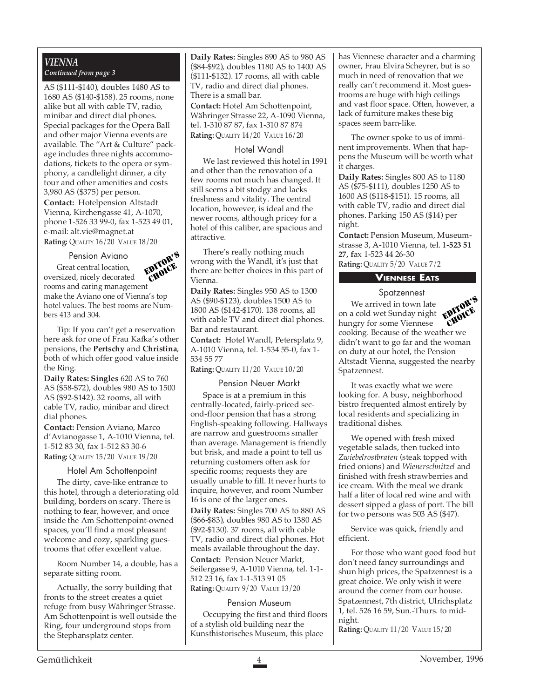#### *VIENNA Continued from page 3*

AS (\$111-\$140), doubles 1480 AS to 1680 AS (\$140-\$158). 25 rooms, none alike but all with cable TV, radio, minibar and direct dial phones. Special packages for the Opera Ball and other major Vienna events are available. The "Art & Culture" package includes three nights accommodations, tickets to the opera or symphony, a candlelight dinner, a city tour and other amenities and costs 3,980 AS (\$375) per person.

**Contact:** Hotelpension Altstadt Vienna, Kirchengasse 41, A-1070, phone 1-526 33 99-0, fax 1-523 49 01, e-mail: alt.vie@magnet.at **Rating:** QUALITY 16/20 VALUE 18/20

#### Pension Aviano Great central location,

EDITOR'S CHOICE

oversized, nicely decorated rooms and caring management make the Aviano one of Vienna's top hotel values. The best rooms are Numbers 413 and 304.

Tip: If you can't get a reservation here ask for one of Frau Kafka's other pensions, the **Pertschy** and **Christina**, both of which offer good value inside the Ring.

**Daily Rates: Singles** 620 AS to 760 AS (\$58-\$72), doubles 980 AS to 1500 AS (\$92-\$142). 32 rooms, all with cable TV, radio, minibar and direct dial phones.

**Contact:** Pension Aviano, Marco d'Avianogasse 1, A-1010 Vienna, tel. 1-512 83 30, fax 1-512 83 30-6 **Rating:** QUALITY 15/20 VALUE 19/20

#### Hotel Am Schottenpoint

The dirty, cave-like entrance to this hotel, through a deteriorating old building, borders on scary. There is nothing to fear, however, and once inside the Am Schottenpoint-owned spaces, you'll find a most pleasant welcome and cozy, sparkling guestrooms that offer excellent value.

Room Number 14, a double, has a separate sitting room.

Actually, the sorry building that fronts to the street creates a quiet refuge from busy Währinger Strasse. Am Schottenpoint is well outside the Ring, four underground stops from the Stephansplatz center.

**Daily Rates:** Singles 890 AS to 980 AS (\$84-\$92), doubles 1180 AS to 1400 AS (\$111-\$132). 17 rooms, all with cable TV, radio and direct dial phones. There is a small bar.

**Contact:** Hotel Am Schottenpoint, Währinger Strasse 22, A-1090 Vienna, tel. 1-310 87 87, fax 1-310 87 874 **Rating:** QUALITY 14/20 VALUE 16/20

#### Hotel Wandl

We last reviewed this hotel in 1991 and other than the renovation of a few rooms not much has changed. It still seems a bit stodgy and lacks freshness and vitality. The central location, however, is ideal and the newer rooms, although pricey for a hotel of this caliber, are spacious and attractive.

There's really nothing much wrong with the Wandl, it's just that there are better choices in this part of Vienna.

**Daily Rates:** Singles 950 AS to 1300 AS (\$90-\$123), doubles 1500 AS to 1800 AS (\$142-\$170). 138 rooms, all with cable TV and direct dial phones. Bar and restaurant.

**Contact:** Hotel Wandl, Petersplatz 9, A-1010 Vienna, tel. 1-534 55-0, fax 1- 534 55 77

**Rating:** QUALITY 11/20 VALUE 10/20

#### Pension Neuer Markt

Space is at a premium in this centrally-located, fairly-priced second-floor pension that has a strong English-speaking following. Hallways are narrow and guestrooms smaller than average. Management is friendly but brisk, and made a point to tell us returning customers often ask for specific rooms; requests they are usually unable to fill. It never hurts to inquire, however, and room Number 16 is one of the larger ones.

**Daily Rates:** Singles 700 AS to 880 AS (\$66-\$83), doubles 980 AS to 1380 AS (\$92-\$130). 37 rooms, all with cable TV, radio and direct dial phones. Hot meals available throughout the day.

**Contact:** Pension Neuer Markt, Seilergasse 9, A-1010 Vienna, tel. 1-1- 512 23 16, fax 1-1-513 91 05 **Rating:** QUALITY 9/20 VALUE 13/20

#### Pension Museum

Occupying the first and third floors of a stylish old building near the Kunsthistorisches Museum, this place

has Viennese character and a charming owner, Frau Elvira Scheyrer, but is so much in need of renovation that we really can't recommend it. Most guestrooms are huge with high ceilings and vast floor space. Often, however, a lack of furniture makes these big spaces seem barn-like.

The owner spoke to us of imminent improvements. When that happens the Museum will be worth what it charges.

**Daily Rates:** Singles 800 AS to 1180 AS (\$75-\$111), doubles 1250 AS to 1600 AS (\$118-\$151). 15 rooms, all with cable TV, radio and direct dial phones. Parking 150 AS (\$14) per night.

**Contact:** Pension Museum, Museumstrasse 3, A-1010 Vienna, tel. 1**-523 51 27, f**ax 1-523 44 26-30 **Rating:** QUALITY 5/20 VALUE 7/2

#### **VIENNESE EATS**

#### Spatzennest

We arrived in town late on a cold wet Sunday night hungry for some Viennese cooking. Because of the weather we didn't want to go far and the woman on duty at our hotel, the Pension Altstadt Vienna, suggested the nearby Spatzennest. EDITOR'S CHOICE

It was exactly what we were looking for. A busy, neighborhood bistro frequented almost entirely by local residents and specializing in traditional dishes.

We opened with fresh mixed vegetable salads, then tucked into *Zwiebelrostbraten* (steak topped with fried onions) and *Wienerschnitzel* and finished with fresh strawberries and ice cream. With the meal we drank half a liter of local red wine and with dessert sipped a glass of port. The bill for two persons was 503 AS (\$47).

Service was quick, friendly and efficient.

For those who want good food but don't need fancy surroundings and shun high prices, the Spatzennest is a great choice. We only wish it were around the corner from our house. Spatzennest, 7th district, Ulrichsplatz 1, tel. 526 16 59, Sun.-Thurs. to midnight.

**Rating:** QUALITY 11/20 VALUE 15/20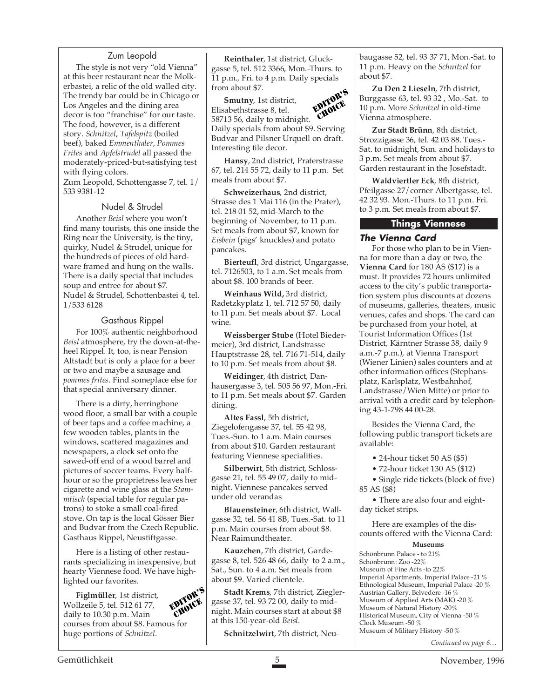#### Zum Leopold

The style is not very "old Vienna" at this beer restaurant near the Molkerbastei, a relic of the old walled city. The trendy bar could be in Chicago or Los Angeles and the dining area decor is too "franchise" for our taste. The food, however, is a different story. *Schnitzel*, *Tafelspitz* (boiled beef), baked *Emmenthaler*, *Pommes Frites* and *Apfelstrudel* all passed the moderately-priced-but-satisfying test with flying colors.

Zum Leopold, Schottengasse 7, tel. 1/ 533 9381-12

#### Nudel & Strudel

Another *Beisl* where you won't find many tourists, this one inside the Ring near the University, is the tiny, quirky, Nudel & Strudel, unique for the hundreds of pieces of old hardware framed and hung on the walls. There is a daily special that includes soup and entree for about \$7. Nudel & Strudel, Schottenbastei 4, tel. 1/533 6128

#### Gasthaus Rippel

For 100% authentic neighborhood *Beisl* atmosphere, try the down-at-theheel Rippel. It, too, is near Pension Altstadt but is only a place for a beer or two and maybe a sausage and *pommes frites*. Find someplace else for that special anniversary dinner.

There is a dirty, herringbone wood floor, a small bar with a couple of beer taps and a coffee machine, a few wooden tables, plants in the windows, scattered magazines and newspapers, a clock set onto the sawed-off end of a wood barrel and pictures of soccer teams. Every halfhour or so the proprietress leaves her cigarette and wine glass at the *Stammtisch* (special table for regular patrons) to stoke a small coal-fired stove. On tap is the local Gösser Bier and Budvar from the Czech Republic. Gasthaus Rippel, Neustiftgasse.

Here is a listing of other restaurants specializing in inexpensive, but hearty Viennese food. We have highlighted our favorites.

**Figlmüller**, 1st district, Wollzeile 5, tel. 512 61 77, daily to 10.30 p.m. Main courses from about \$8. Famous for huge portions of *Schnitzel*. EDITOR'S CHOICE



**Smutny**, 1st district, Elisabethstrasse 8, tel. 58713 56, daily to midnight. Daily specials from about \$9. Serving Budvar and Pilsner Urquell on draft. Interesting tile decor. EDITOR'S **Tioner** 

**Hansy**, 2nd district, Praterstrasse 67, tel. 214 55 72, daily to 11 p.m. Set meals from about \$7.

**Schweizerhaus**, 2nd district, Strasse des 1 Mai 116 (in the Prater), tel. 218 01 52, mid-March to the beginning of November, to 11 p.m. Set meals from about \$7, known for *Eisbein* (pigs' knuckles) and potato pancakes.

**Bierteufl**, 3rd district, Ungargasse, tel. 7126503, to 1 a.m. Set meals from about \$8. 100 brands of beer.

**Weinhaus Wild,** 3rd district, Radetzkyplatz 1, tel. 712 57 50, daily to 11 p.m. Set meals about \$7. Local wine.

**Weissberger Stube** (Hotel Biedermeier), 3rd district, Landstrasse Hauptstrasse 28, tel. 716 71-514, daily to 10 p.m. Set meals from about \$8.

**Weidinger**, 4th district, Danhausergasse 3, tel. 505 56 97, Mon.-Fri. to 11 p.m. Set meals about \$7. Garden dining.

**Altes Fassl**, 5th district, Ziegelofengasse 37, tel. 55 42 98, Tues.-Sun. to 1 a.m. Main courses from about \$10. Garden restaurant featuring Viennese specialities.

**Silberwirt**, 5th district, Schlossgasse 21, tel. 55 49 07, daily to midnight. Viennese pancakes served under old verandas

**Blauensteiner**, 6th district, Wallgasse 32, tel. 56 41 8B, Tues.-Sat. to 11 p.m. Main courses from about \$8. Near Raimundtheater.

**Kauzchen**, 7th district, Gardegasse 8, tel. 526 48 66, daily to 2 a.m., Sat., Sun. to 4 a.m. Set meals from about \$9. Varied clientele.

**Stadt Krems**, 7th district, Zieglergasse 37, tel. 93 72 00, daily to midnight. Main courses start at about \$8 at this 150-year-old *Beisl*.

**Schnitzelwirt**, 7th district, Neu-

baugasse 52, tel. 93 37 71, Mon.-Sat. to 11 p.m. Heavy on the *Schnitzel* for about \$7.

**Zu Den 2 Lieseln**, 7th district, Burggasse 63, tel. 93 32 , Mo.-Sat. to 10 p.m. More *Schnitzel* in old-time Vienna atmosphere.

**Zur Stadt Brünn**, 8th district, Strozzigasse 36, tel. 42 03 88. Tues.- Sat. to midnight, Sun. and holidays to 3 p.m. Set meals from about \$7. Garden restaurant in the Josefstadt.

**Waldviertler Eck**, 8th district, Pfeilgasse 27/corner Albertgasse, tel. 42 32 93. Mon.-Thurs. to 11 p.m. Fri. to 3 p.m. Set meals from about \$7.

### **Things Viennese**

# **The Vienna Card**

For those who plan to be in Vienna for more than a day or two, the **Vienna Card** for 180 AS (\$17) is a must. It provides 72 hours unlimited access to the city's public transportation system plus discounts at dozens of museums, galleries, theaters, music venues, cafes and shops. The card can be purchased from your hotel, at Tourist Information Offices (1st District, Kärntner Strasse 38, daily 9 a.m.-7 p.m.), at Vienna Transport (Wiener Linien) sales counters and at other information offices (Stephansplatz, Karlsplatz, Westbahnhof, Landstrasse/Wien Mitte) or prior to arrival with a credit card by telephoning 43-1-798 44 00-28.

Besides the Vienna Card, the following public transport tickets are available:

• 24-hour ticket 50 AS (\$5)

• 72-hour ticket 130 AS (\$12)

• Single ride tickets (block of five) 85 AS (\$8)

• There are also four and eightday ticket strips.

Here are examples of the discounts offered with the Vienna Card:

#### **Museums**

Schönbrunn Palace - to 21% Schönbrunn: Zoo -22% Museum of Fine Arts -to 22% Imperial Apartments, Imperial Palace -21 % Ethnological Museum, Imperial Palace -20 % Austrian Gallery, Belvedere -16 % Museum of Applied Arts (MAK) -20 % Museum of Natural History -20% Historical Museum, City of Vienna -50 % Clock Museum -50 % Museum of Military History -50 %

*Continued on page 6…*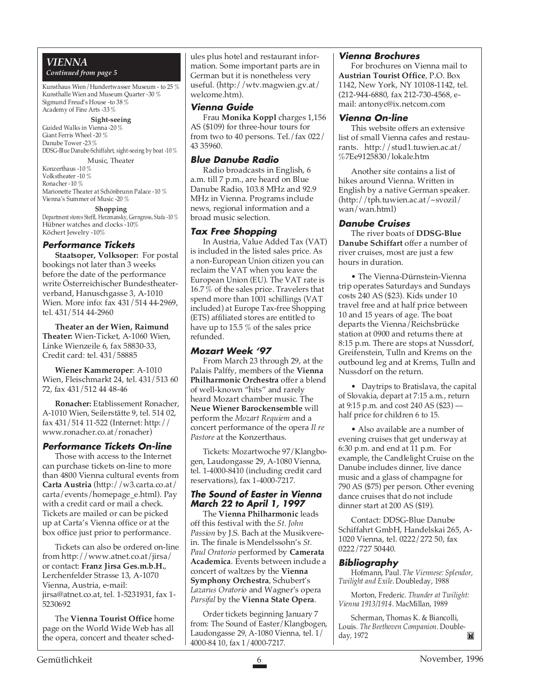# *VIENNA*

#### *Continued from page 5*

Kunsthaus Wien/Hundertwasser Museum - to 25 % Kunsthalle Wien and Museum Quarter -30 % Sigmund Freud's House -to 38 % Academy of Fine Arts -33 %

#### **Sight-seeing**

Guided Walks in Vienna -20 % Giant Ferris Wheel -20 % Danube Tower -23 % DDSG-Blue Danube-Schiffahrt, sight-seeing by boat -10 %

Music, Theater Konzerthaus -10 %

Volkstheater -10 % Ronacher -10 % Marionette Theater at Schönbrunn Palace -10 % Vienna's Summer of Music -20 %

#### **Shopping**

Department stores Steffl, Herzmansky, Gerngross, Stafa -10 % Hübner watches and clocks -10% Köchert Jewelry -10%

#### **Performance Tickets**

**Staatsoper, Volksoper:** For postal bookings not later than 3 weeks before the date of the performance write Österreichischer Bundestheaterverband, Hanuschgasse 3, A-1010 Wien. More info: fax 431/514 44-2969, tel. 431/514 44-2960

**Theater an der Wien, Raimund Theater:** Wien-Ticket, A-1060 Wien, Linke Wienzeile 6, fax 58830-33, Credit card: tel. 431/58885

**Wiener Kammeroper**: A-1010 Wien, Fleischmarkt 24, tel. 431/513 60 72, fax 431/512 44 48-46

**Ronacher:** Etablissement Ronacher, A-1010 Wien, Seilerstätte 9, tel. 514 02, fax 431/514 11-522 (Internet: http:// www.ronacher.co.at/ronacher)

# **Performance Tickets On-line**

Those with access to the Internet can purchase tickets on-line to more than 4800 Vienna cultural events from **Carta Austria** (http://w3.carta.co.at/ carta/events/homepage\_e.html). Pay with a credit card or mail a check. Tickets are mailed or can be picked up at Carta's Vienna office or at the box office just prior to performance.

Tickets can also be ordered on-line from http://www.atnet.co.at/jirsa/ or contact: **Franz Jirsa Ges.m.b.H.**, Lerchenfelder Strasse 13, A-1070 Vienna, Austria, e-mail: jirsa@atnet.co.at, tel. 1-5231931, fax 1- 5230692

The **Vienna Tourist Office** home page on the World Wide Web has all the opera, concert and theater schedules plus hotel and restaurant information. Some important parts are in German but it is nonetheless very useful. (http://wtv.magwien.gv.at/ welcome.htm).

#### **Vienna Guide**

Frau **Monika Koppl** charges 1,156 AS (\$109) for three-hour tours for from two to 40 persons. Tel./fax 022/ 43 35960.

#### **Blue Danube Radio**

Radio broadcasts in English, 6 a.m. till 7 p.m., are heard on Blue Danube Radio, 103.8 MHz and 92.9 MHz in Vienna. Programs include news, regional information and a broad music selection.

#### **Tax Free Shopping**

In Austria, Value Added Tax (VAT) is included in the listed sales price. As a non-European Union citizen you can reclaim the VAT when you leave the European Union (EU). The VAT rate is 16.7 % of the sales price. Travelers that spend more than 1001 schillings (VAT included) at Europe Tax-free Shopping (ETS) affiliated stores are entitled to have up to 15.5 % of the sales price refunded.

#### **Mozart Week '97**

From March 23 through 29, at the Palais Palffy, members of the **Vienna Philharmonic Orchestra** offer a blend of well-known "hits" and rarely heard Mozart chamber music. The **Neue Wiener Barockensemble** will perform the *Mozart Requiem* and a concert performance of the opera *Il re Pastore* at the Konzerthaus.

Tickets: Mozartwoche 97/Klangbogen, Laudongasse 29, A-1080 Vienna, tel. 1-4000-8410 (including credit card reservations), fax 1-4000-7217.

#### **The Sound of Easter in Vienna March 22 to April 1, 1997**

The **Vienna Philharmonic** leads off this festival with the *St. John Passion* by J.S. Bach at the Musikverein. The finale is Mendelssohn's *St. Paul Oratorio* performed by **Camerata Academica**. Events between include a concert of waltzes by the **Vienna Symphony Orchestra**, Schubert's *Lazarus Oratorio* and Wagner's opera *Parsifal* by the **Vienna State Opera**.

Order tickets beginning January 7 from: The Sound of Easter/Klangbogen, Laudongasse 29, A-1080 Vienna, tel. 1/ 4000-84 10, fax 1/4000-7217.

#### **Vienna Brochures**

For brochures on Vienna mail to **Austrian Tourist Office**, P.O. Box 1142, New York, NY 10108-1142, tel. (212-944-6880, fax 212-730-4568, email: antonyc@ix.netcom.com

#### **Vienna On-line**

This website offers an extensive list of small Vienna cafes and restaurants. http://stud1.tuwien.ac.at/ %7Ee9125830/lokale.htm

Another site contains a list of hikes around Vienna. Written in English by a native German speaker. (http://tph.tuwien.ac.at/~svozil/ wan/wan.html)

### **Danube Cruises**

The river boats of **DDSG-Blue Danube Schiffart** offer a number of river cruises, most are just a few hours in duration.

• The Vienna-Dürnstein-Vienna trip operates Saturdays and Sundays costs 240 AS (\$23). Kids under 10 travel free and at half price between 10 and 15 years of age. The boat departs the Vienna/Reichsbrücke station at 0900 and returns there at 8:15 p.m. There are stops at Nussdorf, Greifenstein, Tulln and Krems on the outbound leg and at Krems, Tulln and Nussdorf on the return.

• Daytrips to Bratislava, the capital of Slovakia, depart at 7:15 a.m., return at 9:15 p.m. and cost 240 AS (\$23) half price for children 6 to 15.

• Also available are a number of evening cruises that get underway at 6:30 p.m. and end at 11 p.m. For example, the Candlelight Cruise on the Danube includes dinner, live dance music and a glass of champagne for 790 AS (\$75) per person. Other evening dance cruises that do not include dinner start at 200 AS (\$19).

Contact: DDSG-Blue Danube Schiffahrt GmbH, Handelskai 265, A-1020 Vienna, tel. 0222/272 50, fax 0222/727 50440.

#### **Bibliography**

Hofmann, Paul. *The Viennese: Splendor, Twilight and Exile*. Doubleday, 1988

Morton, Frederic. *Thunder at Twilight: Vienna 1913/1914*. MacMillan, 1989

Scherman, Thomas K. & Biancolli, Louis. *The Beethoven Companion*. Doubleday, 1972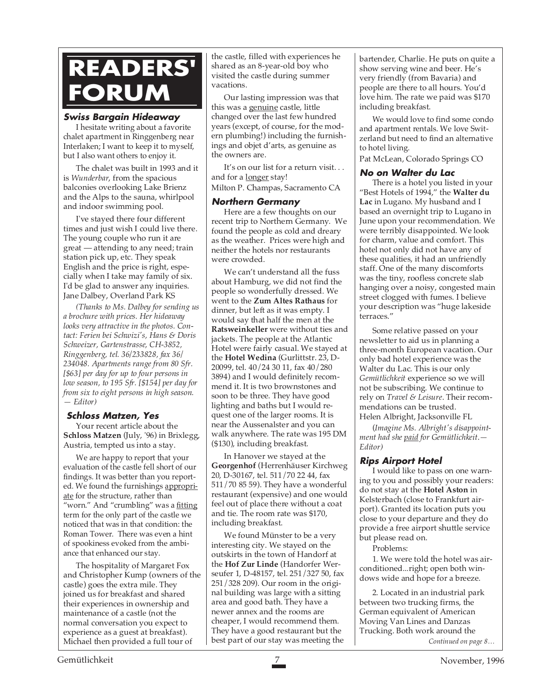# **READERS' FORUM**

### **Swiss Bargain Hideaway**

I hesitate writing about a favorite chalet apartment in Ringgenberg near Interlaken; I want to keep it to myself, but I also want others to enjoy it.

The chalet was built in 1993 and it is *Wunderbar*, from the spacious balconies overlooking Lake Brienz and the Alps to the sauna, whirlpool and indoor swimming pool.

I've stayed there four different times and just wish I could live there. The young couple who run it are great — attending to any need; train station pick up, etc. They speak English and the price is right, especially when I take may family of six. I'd be glad to answer any inquiries. Jane Dalbey, Overland Park KS

*(Thanks to Ms. Dalbey for sending us a brochure with prices. Her hideaway looks very attractive in the photos. Contact: Ferien bei Schwizi's, Hans & Doris Schweizer, Gartenstrasse, CH-3852, Ringgenberg, tel. 36/233828, fax 36/ 234048. Apartments range from 80 Sfr. [\$63] per day for up to four persons in low season, to 195 Sfr. [\$154] per day for from six to eight persons in high season. — Editor)*

# **Schloss Matzen, Yes**

Your recent article about the **Schloss Matzen** (July, '96) in Brixlegg, Austria, tempted us into a stay.

We are happy to report that your evaluation of the castle fell short of our findings. It was better than you reported. We found the furnishings appropriate for the structure, rather than "worn." And "crumbling" was a fitting term for the only part of the castle we noticed that was in that condition: the Roman Tower. There was even a hint of spookiness evoked from the ambiance that enhanced our stay.

The hospitality of Margaret Fox and Christopher Kump (owners of the castle) goes the extra mile. They joined us for breakfast and shared their experiences in ownership and maintenance of a castle (not the normal conversation you expect to experience as a guest at breakfast). Michael then provided a full tour of

the castle, filled with experiences he shared as an 8-year-old boy who visited the castle during summer vacations.

Our lasting impression was that this was a genuine castle, little changed over the last few hundred years (except, of course, for the modern plumbing!) including the furnishings and objet d'arts, as genuine as the owners are.

It's on our list for a return visit. . . and for a longer stay! Milton P. Champas, Sacramento CA

#### **Northern Germany**

Here are a few thoughts on our recent trip to Northern Germany. We found the people as cold and dreary as the weather. Prices were high and neither the hotels nor restaurants were crowded.

We can't understand all the fuss about Hamburg, we did not find the people so wonderfully dressed. We went to the **Zum Altes Rathaus** for dinner, but left as it was empty. I would say that half the men at the **Ratsweinkeller** were without ties and jackets. The people at the Atlantic Hotel were fairly casual. We stayed at the **Hotel Wedina** (Gurlittstr. 23, D-20099, tel. 40/24 30 11, fax 40/280 3894) and I would definitely recommend it. It is two brownstones and soon to be three. They have good lighting and baths but I would request one of the larger rooms. It is near the Aussenalster and you can walk anywhere. The rate was 195 DM (\$130), including breakfast.

In Hanover we stayed at the **Georgenhof** (Herrenhäuser Kirchweg 20, D-30167, tel. 511/70 22 44, fax 511/70 85 59). They have a wonderful restaurant (expensive) and one would feel out of place there without a coat and tie. The room rate was \$170, including breakfast.

We found Münster to be a very interesting city. We stayed on the outskirts in the town of Handorf at the **Hof Zur Linde** (Handorfer Werseufer 1, D-48157, tel. 251/327 50, fax 251/328 209). Our room in the original building was large with a sitting area and good bath. They have a newer annex and the rooms are cheaper, I would recommend them. They have a good restaurant but the best part of our stay was meeting the

bartender, Charlie. He puts on quite a show serving wine and beer. He's very friendly (from Bavaria) and people are there to all hours. You'd love him. The rate we paid was \$170 including breakfast.

We would love to find some condo and apartment rentals. We love Switzerland but need to find an alternative to hotel living.

Pat McLean, Colorado Springs CO

#### **No on Walter du Lac**

There is a hotel you listed in your "Best Hotels of 1994," the **Walter du Lac** in Lugano. My husband and I based an overnight trip to Lugano in June upon your recommendation. We were terribly disappointed. We look for charm, value and comfort. This hotel not only did not have any of these qualities, it had an unfriendly staff. One of the many discomforts was the tiny, roofless concrete slab hanging over a noisy, congested main street clogged with fumes. I believe your description was "huge lakeside terraces."

Some relative passed on your newsletter to aid us in planning a three-month European vacation. Our only bad hotel experience was the Walter du Lac. This is our only *Gemütlichkeit* experience so we will not be subscribing. We continue to rely on *Travel & Leisure*. Their recommendations can be trusted. Helen Albright, Jacksonville FL

(*Imagine Ms. Albright's disappointment had she paid for Gemütlichkeit*.*— Editor)*

# **Rips Airport Hotel**

I would like to pass on one warning to you and possibly your readers: do not stay at the **Hotel Aston** in Kelsterbach (close to Frankfurt airport). Granted its location puts you close to your departure and they do provide a free airport shuttle service but please read on.

Problems:

1. We were told the hotel was airconditioned...right; open both windows wide and hope for a breeze.

2. Located in an industrial park between two trucking firms, the German equivalent of American Moving Van Lines and Danzas Trucking. Both work around the *Continued on page 8…*